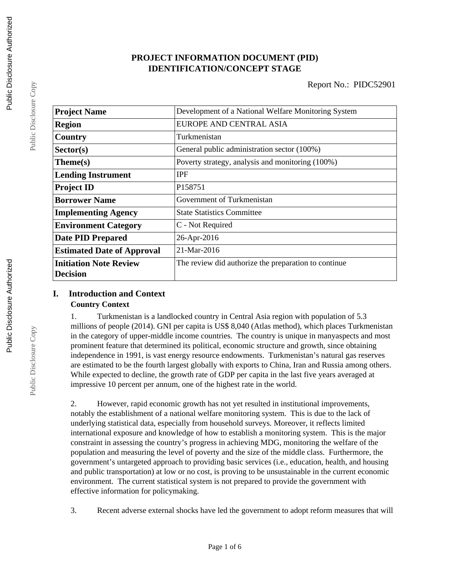## **PROJECT INFORMATION DOCUMENT (PID) IDENTIFICATION/CONCEPT STAGE**

| <b>Project Name</b>                              | Development of a National Welfare Monitoring System  |  |  |
|--------------------------------------------------|------------------------------------------------------|--|--|
| <b>Region</b>                                    | EUROPE AND CENTRAL ASIA                              |  |  |
| Country                                          | Turkmenistan                                         |  |  |
| Sector(s)                                        | General public administration sector (100%)          |  |  |
| Theme(s)                                         | Poverty strategy, analysis and monitoring (100%)     |  |  |
| <b>Lending Instrument</b>                        | <b>IPF</b>                                           |  |  |
| <b>Project ID</b>                                | P <sub>158751</sub>                                  |  |  |
| <b>Borrower Name</b>                             | Government of Turkmenistan                           |  |  |
| <b>Implementing Agency</b>                       | <b>State Statistics Committee</b>                    |  |  |
| <b>Environment Category</b>                      | C - Not Required                                     |  |  |
| <b>Date PID Prepared</b>                         | 26-Apr-2016                                          |  |  |
| <b>Estimated Date of Approval</b>                | 21-Mar-2016                                          |  |  |
| <b>Initiation Note Review</b><br><b>Decision</b> | The review did authorize the preparation to continue |  |  |

## **I. Introduction and Context Country Context**

1. Turkmenistan is a landlocked country in Central Asia region with population of 5.3 millions of people (2014). GNI per capita is US\$ 8,040 (Atlas method), which places Turkmenistan in the category of upper-middle income countries. The country is unique in manyaspects and most prominent feature that determined its political, economic structure and growth, since obtaining independence in 1991, is vast energy resource endowments. Turkmenistan's natural gas reserves are estimated to be the fourth largest globally with exports to China, Iran and Russia among others. While expected to decline, the growth rate of GDP per capita in the last five years averaged at impressive 10 percent per annum, one of the highest rate in the world.

2. However, rapid economic growth has not yet resulted in institutional improvements, notably the establishment of a national welfare monitoring system. This is due to the lack of underlying statistical data, especially from household surveys. Moreover, it reflects limited international exposure and knowledge of how to establish a monitoring system. This is the major constraint in assessing the country's progress in achieving MDG, monitoring the welfare of the population and measuring the level of poverty and the size of the middle class. Furthermore, the government's untargeted approach to providing basic services (i.e., education, health, and housing and public transportation) at low or no cost, is proving to be unsustainable in the current economic environment. The current statistical system is not prepared to provide the government with effective information for policymaking.

3. Recent adverse external shocks have led the government to adopt reform measures that will

Public Disclosure Copy

Public Disclosure Copy

Public Disclosure Copy

Public Disclosure Copy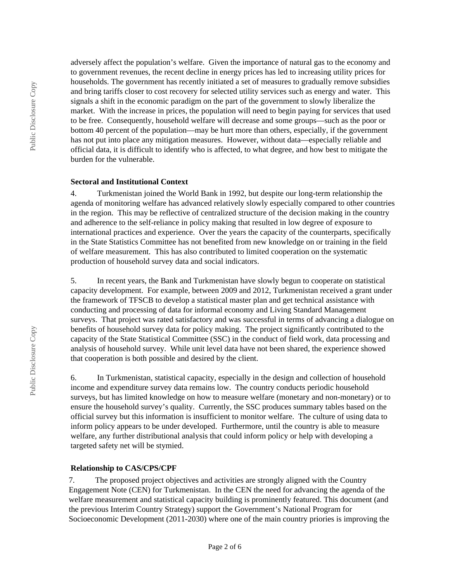adversely affect the population's welfare. Given the importance of natural gas to the economy and to government revenues, the recent decline in energy prices has led to increasing utility prices for households. The government has recently initiated a set of measures to gradually remove subsidies and bring tariffs closer to cost recovery for selected utility services such as energy and water. This signals a shift in the economic paradigm on the part of the government to slowly liberalize the market. With the increase in prices, the population will need to begin paying for services that used to be free. Consequently, household welfare will decrease and some groups—such as the poor or bottom 40 percent of the population—may be hurt more than others, especially, if the government has not put into place any mitigation measures. However, without data—especially reliable and official data, it is difficult to identify who is affected, to what degree, and how best to mitigate the burden for the vulnerable.

#### **Sectoral and Institutional Context**

4. Turkmenistan joined the World Bank in 1992, but despite our long-term relationship the agenda of monitoring welfare has advanced relatively slowly especially compared to other countries in the region. This may be reflective of centralized structure of the decision making in the country and adherence to the self-reliance in policy making that resulted in low degree of exposure to international practices and experience. Over the years the capacity of the counterparts, specifically in the State Statistics Committee has not benefited from new knowledge on or training in the field of welfare measurement. This has also contributed to limited cooperation on the systematic production of household survey data and social indicators.

5. In recent years, the Bank and Turkmenistan have slowly begun to cooperate on statistical capacity development. For example, between 2009 and 2012, Turkmenistan received a grant under the framework of TFSCB to develop a statistical master plan and get technical assistance with conducting and processing of data for informal economy and Living Standard Management surveys. That project was rated satisfactory and was successful in terms of advancing a dialogue on benefits of household survey data for policy making. The project significantly contributed to the capacity of the State Statistical Committee (SSC) in the conduct of field work, data processing and analysis of household survey. While unit level data have not been shared, the experience showed that cooperation is both possible and desired by the client.

6. In Turkmenistan, statistical capacity, especially in the design and collection of household income and expenditure survey data remains low. The country conducts periodic household surveys, but has limited knowledge on how to measure welfare (monetary and non-monetary) or to ensure the household survey's quality. Currently, the SSC produces summary tables based on the official survey but this information is insufficient to monitor welfare. The culture of using data to inform policy appears to be under developed. Furthermore, until the country is able to measure welfare, any further distributional analysis that could inform policy or help with developing a targeted safety net will be stymied.

#### **Relationship to CAS/CPS/CPF**

7. The proposed project objectives and activities are strongly aligned with the Country Engagement Note (CEN) for Turkmenistan. In the CEN the need for advancing the agenda of the welfare measurement and statistical capacity building is prominently featured. This document (and the previous Interim Country Strategy) support the Government's National Program for Socioeconomic Development (2011-2030) where one of the main country priories is improving the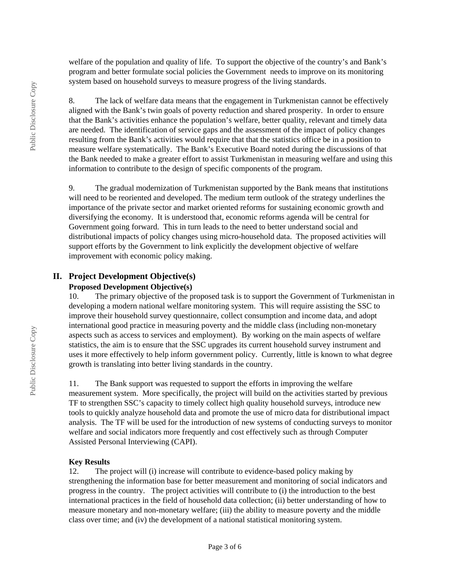welfare of the population and quality of life. To support the objective of the country's and Bank's program and better formulate social policies the Government needs to improve on its monitoring system based on household surveys to measure progress of the living standards.

8. The lack of welfare data means that the engagement in Turkmenistan cannot be effectively aligned with the Bank's twin goals of poverty reduction and shared prosperity. In order to ensure that the Bank's activities enhance the population's welfare, better quality, relevant and timely data are needed. The identification of service gaps and the assessment of the impact of policy changes resulting from the Bank's activities would require that that the statistics office be in a position to measure welfare systematically. The Bank's Executive Board noted during the discussions of that the Bank needed to make a greater effort to assist Turkmenistan in measuring welfare and using this information to contribute to the design of specific components of the program.

9. The gradual modernization of Turkmenistan supported by the Bank means that institutions will need to be reoriented and developed. The medium term outlook of the strategy underlines the importance of the private sector and market oriented reforms for sustaining economic growth and diversifying the economy. It is understood that, economic reforms agenda will be central for Government going forward. This in turn leads to the need to better understand social and distributional impacts of policy changes using micro-household data. The proposed activities will support efforts by the Government to link explicitly the development objective of welfare improvement with economic policy making.

#### **II. Project Development Objective(s)**

## **Proposed Development Objective(s)**

10. The primary objective of the proposed task is to support the Government of Turkmenistan in developing a modern national welfare monitoring system. This will require assisting the SSC to improve their household survey questionnaire, collect consumption and income data, and adopt international good practice in measuring poverty and the middle class (including non-monetary aspects such as access to services and employment). By working on the main aspects of welfare statistics, the aim is to ensure that the SSC upgrades its current household survey instrument and uses it more effectively to help inform government policy. Currently, little is known to what degree growth is translating into better living standards in the country.

11. The Bank support was requested to support the efforts in improving the welfare measurement system. More specifically, the project will build on the activities started by previous TF to strengthen SSC's capacity to timely collect high quality household surveys, introduce new tools to quickly analyze household data and promote the use of micro data for distributional impact analysis. The TF will be used for the introduction of new systems of conducting surveys to monitor welfare and social indicators more frequently and cost effectively such as through Computer Assisted Personal Interviewing (CAPI).

#### **Key Results**

12. The project will (i) increase will contribute to evidence-based policy making by strengthening the information base for better measurement and monitoring of social indicators and progress in the country. The project activities will contribute to (i) the introduction to the best international practices in the field of household data collection; (ii) better understanding of how to measure monetary and non-monetary welfare; (iii) the ability to measure poverty and the middle class over time; and (iv) the development of a national statistical monitoring system.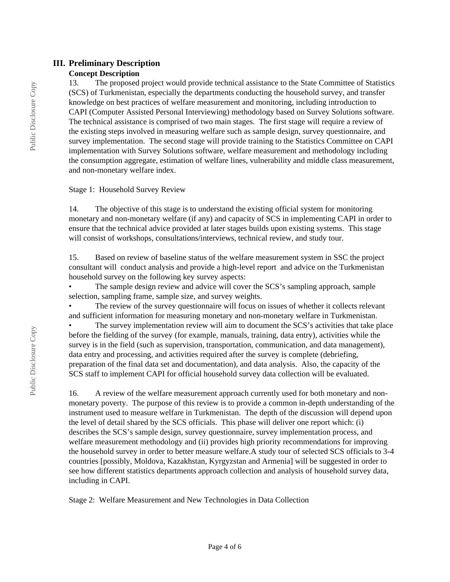## **III. Preliminary Description**

#### **Concept Description**

13. The proposed project would provide technical assistance to the State Committee of Statistics (SCS) of Turkmenistan, especially the departments conducting the household survey, and transfer knowledge on best practices of welfare measurement and monitoring, including introduction to CAPI (Computer Assisted Personal Interviewing) methodology based on Survey Solutions software. The technical assistance is comprised of two main stages. The first stage will require a review of the existing steps involved in measuring welfare such as sample design, survey questionnaire, and survey implementation. The second stage will provide training to the Statistics Committee on CAPI implementation with Survey Solutions software, welfare measurement and methodology including the consumption aggregate, estimation of welfare lines, vulnerability and middle class measurement, and non-monetary welfare index.

Stage 1: Household Survey Review

14. The objective of this stage is to understand the existing official system for monitoring monetary and non-monetary welfare (if any) and capacity of SCS in implementing CAPI in order to ensure that the technical advice provided at later stages builds upon existing systems. This stage will consist of workshops, consultations/interviews, technical review, and study tour.

15. Based on review of baseline status of the welfare measurement system in SSC the project consultant will conduct analysis and provide a high-level report and advice on the Turkmenistan household survey on the following key survey aspects:

The sample design review and advice will cover the SCS's sampling approach, sample selection, sampling frame, sample size, and survey weights.

The review of the survey questionnaire will focus on issues of whether it collects relevant and sufficient information for measuring monetary and non-monetary welfare in Turkmenistan.

The survey implementation review will aim to document the SCS's activities that take place before the fielding of the survey (for example, manuals, training, data entry), activities while the survey is in the field (such as supervision, transportation, communication, and data management), data entry and processing, and activities required after the survey is complete (debriefing, preparation of the final data set and documentation), and data analysis. Also, the capacity of the SCS staff to implement CAPI for official household survey data collection will be evaluated.

16. A review of the welfare measurement approach currently used for both monetary and nonmonetary poverty. The purpose of this review is to provide a common in-depth understanding of the instrument used to measure welfare in Turkmenistan. The depth of the discussion will depend upon the level of detail shared by the SCS officials. This phase will deliver one report which: (i) describes the SCS's sample design, survey questionnaire, survey implementation process, and welfare measurement methodology and (ii) provides high priority recommendations for improving the household survey in order to better measure welfare.A study tour of selected SCS officials to 3-4 countries [possibly, Moldova, Kazakhstan, Kyrgyzstan and Armenia] will be suggested in order to see how different statistics departments approach collection and analysis of household survey data, including in CAPI.

Stage 2: Welfare Measurement and New Technologies in Data Collection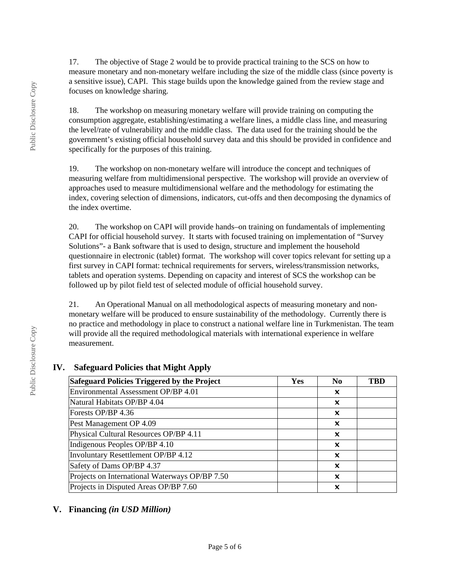17. The objective of Stage 2 would be to provide practical training to the SCS on how to measure monetary and non-monetary welfare including the size of the middle class (since poverty is a sensitive issue), CAPI. This stage builds upon the knowledge gained from the review stage and focuses on knowledge sharing.

18. The workshop on measuring monetary welfare will provide training on computing the consumption aggregate, establishing/estimating a welfare lines, a middle class line, and measuring the level/rate of vulnerability and the middle class. The data used for the training should be the government's existing official household survey data and this should be provided in confidence and specifically for the purposes of this training.

19. The workshop on non-monetary welfare will introduce the concept and techniques of measuring welfare from multidimensional perspective. The workshop will provide an overview of approaches used to measure multidimensional welfare and the methodology for estimating the index, covering selection of dimensions, indicators, cut-offs and then decomposing the dynamics of the index overtime.

20. The workshop on CAPI will provide hands–on training on fundamentals of implementing CAPI for official household survey. It starts with focused training on implementation of "Survey Solutions"- a Bank software that is used to design, structure and implement the household questionnaire in electronic (tablet) format. The workshop will cover topics relevant for setting up a first survey in CAPI format: technical requirements for servers, wireless/transmission networks, tablets and operation systems. Depending on capacity and interest of SCS the workshop can be followed up by pilot field test of selected module of official household survey.

21. An Operational Manual on all methodological aspects of measuring monetary and nonmonetary welfare will be produced to ensure sustainability of the methodology. Currently there is no practice and methodology in place to construct a national welfare line in Turkmenistan. The team will provide all the required methodological materials with international experience in welfare measurement.

| Safeguard Policies Triggered by the Project    | Yes | N <sub>0</sub> | TBD |
|------------------------------------------------|-----|----------------|-----|
| Environmental Assessment OP/BP 4.01            |     | x              |     |
| Natural Habitats OP/BP 4.04                    |     | x              |     |
| Forests OP/BP 4.36                             |     | x              |     |
| Pest Management OP 4.09                        |     | x              |     |
| Physical Cultural Resources OP/BP 4.11         |     | x              |     |
| Indigenous Peoples OP/BP 4.10                  |     | X              |     |
| Involuntary Resettlement OP/BP 4.12            |     | x              |     |
| Safety of Dams OP/BP 4.37                      |     | x              |     |
| Projects on International Waterways OP/BP 7.50 |     | X              |     |
| Projects in Disputed Areas OP/BP 7.60          |     | x              |     |

## **IV. Safeguard Policies that Might Apply**

### **V. Financing** *(in USD Million)*